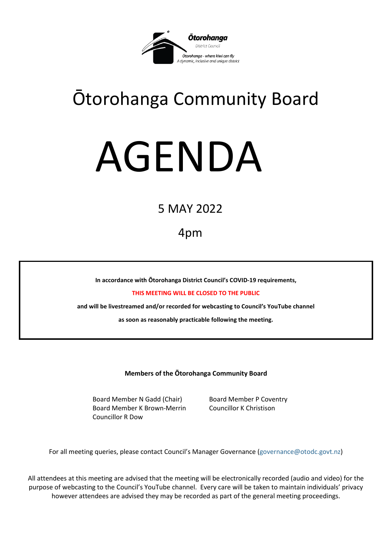

# Ōtorohanga Community Board

# AGENDA

## 5 MAY 2022

### 4pm

**In accordance with Ōtorohanga District Council's COVID-19 requirements,** 

**THIS MEETING WILL BE CLOSED TO THE PUBLIC**

**and will be livestreamed and/or recorded for webcasting to Council's YouTube channel** 

**as soon as reasonably practicable following the meeting.**

**Members of the Ōtorohanga Community Board**

Board Member N Gadd (Chair) Board Member P Coventry Board Member K Brown-Merrin Councillor K Christison Councillor R Dow

For all meeting queries, please contact Council's Manager Governance [\(governance@otodc.govt.nz\)](mailto:governance@otodc.govt.nz)

All attendees at this meeting are advised that the meeting will be electronically recorded (audio and video) for the purpose of webcasting to the Council's YouTube channel. Every care will be taken to maintain individuals' privacy however attendees are advised they may be recorded as part of the general meeting proceedings.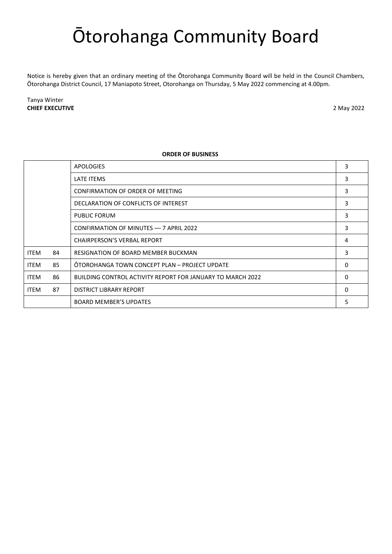## Ōtorohanga Community Board

Notice is hereby given that an ordinary meeting of the Ōtorohanga Community Board will be held in the Council Chambers, Ōtorohanga District Council, 17 Maniapoto Street, Otorohanga on Thursday, 5 May 2022 commencing at 4.00pm.

Tanya Winter **CHIEF EXECUTIVE** 2 May 2022

#### **ORDER OF BUSINESS**

|             |    | <b>APOLOGIES</b>                                           | 3  |
|-------------|----|------------------------------------------------------------|----|
|             |    | <b>LATE ITEMS</b>                                          | 3  |
|             |    | CONFIRMATION OF ORDER OF MEETING                           | 3  |
|             |    | DECLARATION OF CONFLICTS OF INTEREST                       | 3  |
|             |    | PUBLIC FORUM                                               | 3  |
|             |    | CONFIRMATION OF MINUTES - 7 APRIL 2022                     | 3  |
|             |    | <b>CHAIRPERSON'S VERBAL REPORT</b>                         | 4  |
| <b>ITEM</b> | 84 | <b>RESIGNATION OF BOARD MEMBER BUCKMAN</b>                 | 9  |
| <b>ITEM</b> | 85 | OTOROHANGA TOWN CONCEPT PLAN - PROJECT UPDATE              | 12 |
| <b>ITEM</b> | 86 | BUILDING CONTROL ACTIVITY REPORT FOR JANUARY TO MARCH 2022 | 14 |
| <b>ITEM</b> | 87 | DISTRICT LIBRARY REPORT                                    | 16 |
|             |    | <b>BOARD MEMBER'S UPDATES</b>                              | 19 |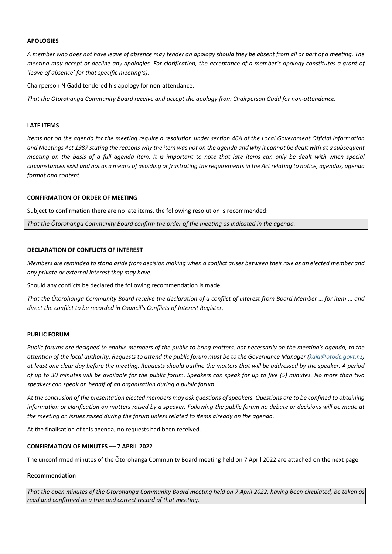#### <span id="page-2-0"></span>**APOLOGIES**

*A member who does not have leave of absence may tender an apology should they be absent from all or part of a meeting. The meeting may accept or decline any apologies. For clarification, the acceptance of a member's apology constitutes a grant of 'leave of absence' for that specific meeting(s).*

Chairperson N Gadd tendered his apology for non-attendance.

*That the Ōtorohanga Community Board receive and accept the apology from Chairperson Gadd for non-attendance.*

#### <span id="page-2-1"></span>**LATE ITEMS**

*Items not on the agenda for the meeting require a resolution under section 46A of the Local Government Official Information and Meetings Act 1987 stating the reasons why the item was not on the agenda and why it cannot be dealt with at a subsequent meeting on the basis of a full agenda item. It is important to note that late items can only be dealt with when special circumstances exist and not as a means of avoiding or frustrating the requirements in the Act relating to notice, agendas, agenda format and content.*

#### <span id="page-2-2"></span>**CONFIRMATION OF ORDER OF MEETING**

Subject to confirmation there are no late items, the following resolution is recommended:

*That the Ōtorohanga Community Board confirm the order of the meeting as indicated in the agenda.*

#### <span id="page-2-3"></span>**DECLARATION OF CONFLICTS OF INTEREST**

*Members are reminded to stand aside from decision making when a conflict arises between their role as an elected member and any private or external interest they may have.* 

Should any conflicts be declared the following recommendation is made:

*That the Ōtorohanga Community Board receive the declaration of a conflict of interest from Board Member … for item … and direct the conflict to be recorded in Council's Conflicts of Interest Register.*

#### <span id="page-2-4"></span>**PUBLIC FORUM**

*Public forums are designed to enable members of the public to bring matters, not necessarily on the meeting's agenda, to the attention of the local authority. Requests to attend the public forum must be to the Governance Manager [\(kaia@otodc.govt.nz\)](mailto:kaia@otodc.govt.nz) at least one clear day before the meeting. Requests should outline the matters that will be addressed by the speaker. A period of up to 30 minutes will be available for the public forum. Speakers can speak for up to five (5) minutes. No more than two speakers can speak on behalf of an organisation during a public forum.* 

*At the conclusion of the presentation elected members may ask questions of speakers. Questions are to be confined to obtaining information or clarification on matters raised by a speaker. Following the public forum no debate or decisions will be made at the meeting on issues raised during the forum unless related to items already on the agenda.*

At the finalisation of this agenda, no requests had been received.

#### <span id="page-2-5"></span>**CONFIRMATION OF MINUTES –– 7 APRIL 2022**

The unconfirmed minutes of the Ōtorohanga Community Board meeting held on 7 April 2022 are attached on the next page.

#### **Recommendation**

*That the open minutes of the Ōtorohanga Community Board meeting held on 7 April 2022, having been circulated, be taken as read and confirmed as a true and correct record of that meeting.*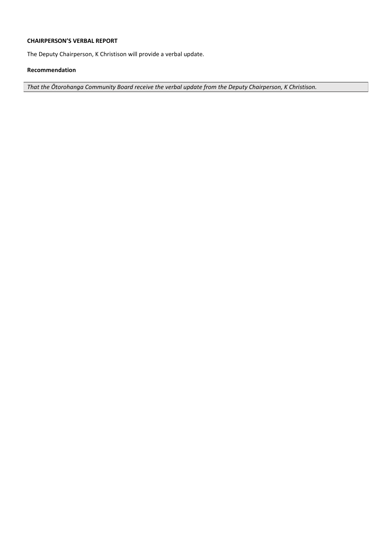#### <span id="page-3-0"></span>**CHAIRPERSON'S VERBAL REPORT**

The Deputy Chairperson, K Christison will provide a verbal update.

#### **Recommendation**

*That the Ōtorohanga Community Board receive the verbal update from the Deputy Chairperson, K Christison.*